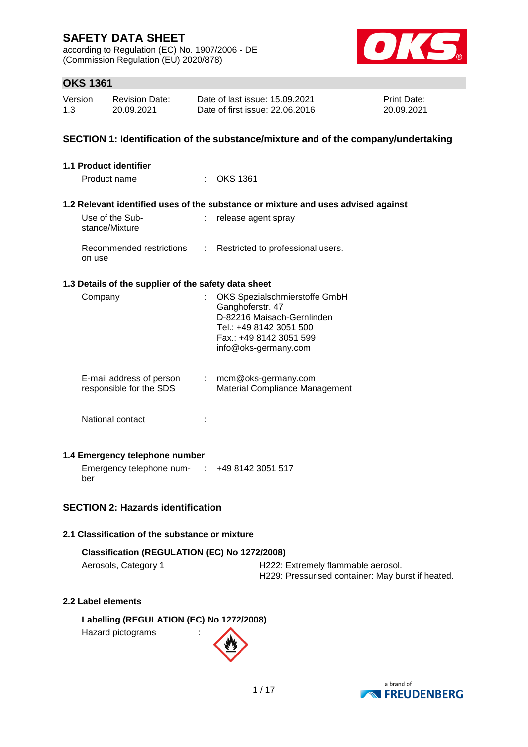according to Regulation (EC) No. 1907/2006 - DE (Commission Regulation (EU) 2020/878)



# **OKS 1361**

| Version | <b>Revision Date:</b> | Date of last issue: 15.09.2021  | <b>Print Date:</b> |
|---------|-----------------------|---------------------------------|--------------------|
| 1.3     | 20.09.2021            | Date of first issue: 22.06.2016 | 20.09.2021         |

### **SECTION 1: Identification of the substance/mixture and of the company/undertaking**

| 1.1 Product identifier                                         |                                                                                                                                                               |
|----------------------------------------------------------------|---------------------------------------------------------------------------------------------------------------------------------------------------------------|
| Product name                                                   | $:$ OKS 1361                                                                                                                                                  |
|                                                                | 1.2 Relevant identified uses of the substance or mixture and uses advised against                                                                             |
| Use of the Sub-<br>stance/Mixture                              | release agent spray                                                                                                                                           |
| Recommended restrictions :<br>on use                           | Restricted to professional users.                                                                                                                             |
| 1.3 Details of the supplier of the safety data sheet           |                                                                                                                                                               |
| Company                                                        | OKS Spezialschmierstoffe GmbH<br>Ganghoferstr. 47<br>D-82216 Maisach-Gernlinden<br>Tel.: +49 8142 3051 500<br>Fax.: +49 8142 3051 599<br>info@oks-germany.com |
| E-mail address of person<br>responsible for the SDS            | $:$ mcm@oks-germany.com<br>Material Compliance Management                                                                                                     |
| National contact                                               |                                                                                                                                                               |
| 1.4 Emergency telephone number                                 |                                                                                                                                                               |
| Emergency telephone num- $\therefore$ +49 8142 3051 517<br>ber |                                                                                                                                                               |

### **SECTION 2: Hazards identification**

### **2.1 Classification of the substance or mixture**

#### **Classification (REGULATION (EC) No 1272/2008)**

Aerosols, Category 1 **H222: Extremely flammable aerosol.** H229: Pressurised container: May burst if heated.

### **2.2 Label elements**

**Labelling (REGULATION (EC) No 1272/2008)** Hazard pictograms :

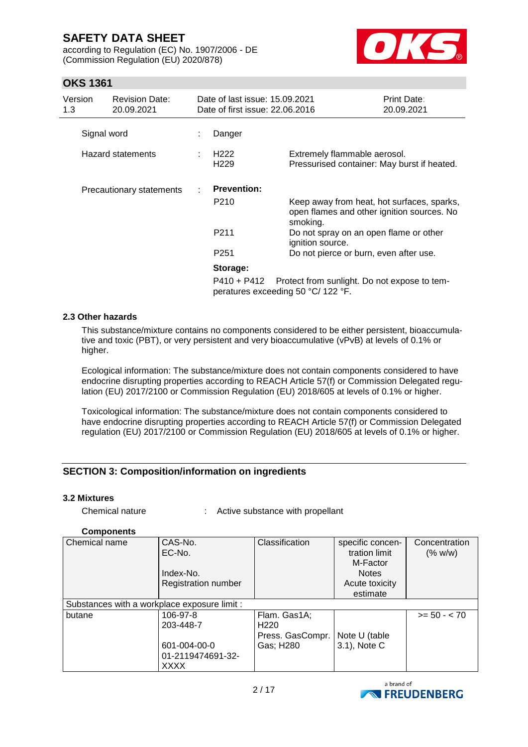according to Regulation (EC) No. 1907/2006 - DE (Commission Regulation (EU) 2020/878)



# **OKS 1361**

| Version<br>1.3 | <b>Revision Date:</b><br>20.09.2021 | Date of last issue: 15.09.2021<br>Date of first issue: 22,06,2016 |                                                                                                      | Print Date:<br>20.09.2021 |
|----------------|-------------------------------------|-------------------------------------------------------------------|------------------------------------------------------------------------------------------------------|---------------------------|
|                | Signal word                         | Danger                                                            |                                                                                                      |                           |
|                | <b>Hazard statements</b>            | H <sub>222</sub><br>H <sub>229</sub>                              | Extremely flammable aerosol.<br>Pressurised container: May burst if heated.                          |                           |
|                | Precautionary statements            | <b>Prevention:</b>                                                |                                                                                                      |                           |
|                |                                     | P210                                                              | Keep away from heat, hot surfaces, sparks,<br>open flames and other ignition sources. No<br>smoking. |                           |
|                |                                     | P211                                                              | Do not spray on an open flame or other<br>ignition source.                                           |                           |
|                |                                     | P <sub>251</sub>                                                  | Do not pierce or burn, even after use.                                                               |                           |
|                |                                     | Storage:                                                          |                                                                                                      |                           |
|                |                                     | P410 + P412                                                       | Protect from sunlight. Do not expose to tem-<br>peratures exceeding 50 °C/ 122 °F.                   |                           |

#### **2.3 Other hazards**

This substance/mixture contains no components considered to be either persistent, bioaccumulative and toxic (PBT), or very persistent and very bioaccumulative (vPvB) at levels of 0.1% or higher.

Ecological information: The substance/mixture does not contain components considered to have endocrine disrupting properties according to REACH Article 57(f) or Commission Delegated regulation (EU) 2017/2100 or Commission Regulation (EU) 2018/605 at levels of 0.1% or higher.

Toxicological information: The substance/mixture does not contain components considered to have endocrine disrupting properties according to REACH Article 57(f) or Commission Delegated regulation (EU) 2017/2100 or Commission Regulation (EU) 2018/605 at levels of 0.1% or higher.

### **SECTION 3: Composition/information on ingredients**

#### **3.2 Mixtures**

| Chemical nature |  | Active substance with propellant |  |
|-----------------|--|----------------------------------|--|
|-----------------|--|----------------------------------|--|

#### **Components**

| Chemical name                                | CAS-No.             | Classification   | specific concen- | Concentration  |
|----------------------------------------------|---------------------|------------------|------------------|----------------|
|                                              | EC-No.              |                  | tration limit    | (% w/w)        |
|                                              |                     |                  | M-Factor         |                |
|                                              | Index-No.           |                  | <b>Notes</b>     |                |
|                                              | Registration number |                  | Acute toxicity   |                |
|                                              |                     |                  | estimate         |                |
| Substances with a workplace exposure limit : |                     |                  |                  |                |
| butane                                       | 106-97-8            | Flam. Gas1A;     |                  | $>= 50 - < 70$ |
|                                              | 203-448-7           | H <sub>220</sub> |                  |                |
|                                              |                     | Press. GasCompr. | Note U (table    |                |
|                                              | 601-004-00-0        | Gas; H280        | 3.1), Note C     |                |
|                                              | 01-2119474691-32-   |                  |                  |                |
|                                              | XXXX                |                  |                  |                |

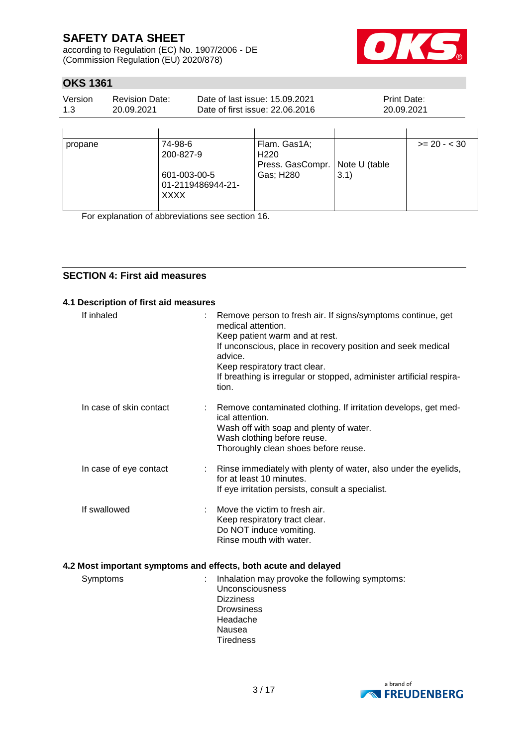according to Regulation (EC) No. 1907/2006 - DE (Commission Regulation (EU) 2020/878)



# **OKS 1361**

| Version | Revision Date: | Date of last issue: 15.09.2021  | <b>Print Date:</b> |
|---------|----------------|---------------------------------|--------------------|
| 1.3     | 20.09.2021     | Date of first issue: 22.06.2016 | 20.09.2021         |
|         |                |                                 |                    |

| propane | 74-98-6<br>200-827-9<br>601-003-00-5<br>01-2119486944-21-<br><b>XXXX</b> | Flam. Gas1A;<br>H <sub>220</sub><br>Press. GasCompr.   Note U (table<br>Gas; H280 | 3.1) | $>= 20 - 30$ |
|---------|--------------------------------------------------------------------------|-----------------------------------------------------------------------------------|------|--------------|

For explanation of abbreviations see section 16.

### **SECTION 4: First aid measures**

### **4.1 Description of first aid measures** If inhaled : Remove person to fresh air. If signs/symptoms continue, get medical attention. Keep patient warm and at rest. If unconscious, place in recovery position and seek medical advice. Keep respiratory tract clear. If breathing is irregular or stopped, administer artificial respiration. In case of skin contact : Remove contaminated clothing. If irritation develops, get medical attention. Wash off with soap and plenty of water. Wash clothing before reuse. Thoroughly clean shoes before reuse.

# In case of eye contact : Rinse immediately with plenty of water, also under the eyelids, for at least 10 minutes. If eye irritation persists, consult a specialist.

#### If swallowed : Move the victim to fresh air. Keep respiratory tract clear. Do NOT induce vomiting. Rinse mouth with water.

### **4.2 Most important symptoms and effects, both acute and delayed**

| Symptoms | Inhalation may provoke the following symptoms:<br><b>Unconsciousness</b><br><b>Dizziness</b><br><b>Drowsiness</b><br>Headache<br>Nausea<br><b>Tiredness</b> |
|----------|-------------------------------------------------------------------------------------------------------------------------------------------------------------|
|          |                                                                                                                                                             |

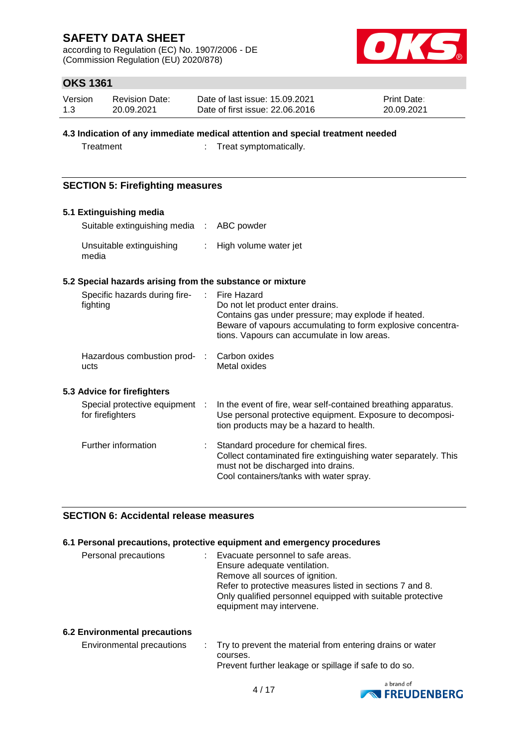according to Regulation (EC) No. 1907/2006 - DE (Commission Regulation (EU) 2020/878)



# **OKS 1361**

| Version | <b>Revision Date:</b> | Date of last issue: 15.09.2021  | Print Date: |
|---------|-----------------------|---------------------------------|-------------|
| 1.3     | 20.09.2021            | Date of first issue: 22.06.2016 | 20.09.2021  |

#### **4.3 Indication of any immediate medical attention and special treatment needed**

Treatment : Treat symptomatically.

### **SECTION 5: Firefighting measures**

| 5.1 Extinguishing media                                   |                           |                                                                                                                                                                                                                      |
|-----------------------------------------------------------|---------------------------|----------------------------------------------------------------------------------------------------------------------------------------------------------------------------------------------------------------------|
| Suitable extinguishing media :                            |                           | ABC powder                                                                                                                                                                                                           |
| Unsuitable extinguishing<br>media                         | $\mathbb{R}^{\mathbb{Z}}$ | High volume water jet                                                                                                                                                                                                |
| 5.2 Special hazards arising from the substance or mixture |                           |                                                                                                                                                                                                                      |
| Specific hazards during fire-<br>fighting                 | ÷.                        | Fire Hazard<br>Do not let product enter drains.<br>Contains gas under pressure; may explode if heated.<br>Beware of vapours accumulating to form explosive concentra-<br>tions. Vapours can accumulate in low areas. |
| Hazardous combustion prod- :<br>ucts                      |                           | Carbon oxides<br>Metal oxides                                                                                                                                                                                        |
| 5.3 Advice for firefighters                               |                           |                                                                                                                                                                                                                      |
| Special protective equipment :<br>for firefighters        |                           | In the event of fire, wear self-contained breathing apparatus.<br>Use personal protective equipment. Exposure to decomposi-<br>tion products may be a hazard to health.                                              |
| Further information                                       |                           | Standard procedure for chemical fires.<br>Collect contaminated fire extinguishing water separately. This<br>must not be discharged into drains.<br>Cool containers/tanks with water spray.                           |

### **SECTION 6: Accidental release measures**

#### **6.1 Personal precautions, protective equipment and emergency procedures**

| Personal precautions<br>Evacuate personnel to safe areas.<br>D. | Ensure adequate ventilation.<br>Remove all sources of ignition.<br>Refer to protective measures listed in sections 7 and 8.<br>Only qualified personnel equipped with suitable protective<br>equipment may intervene. |
|-----------------------------------------------------------------|-----------------------------------------------------------------------------------------------------------------------------------------------------------------------------------------------------------------------|
|-----------------------------------------------------------------|-----------------------------------------------------------------------------------------------------------------------------------------------------------------------------------------------------------------------|

#### **6.2 Environmental precautions**

| Environmental precautions | . Try to prevent the material from entering drains or water |  |
|---------------------------|-------------------------------------------------------------|--|
|                           | courses.                                                    |  |
|                           | Prevent further leakage or spillage if safe to do so.       |  |

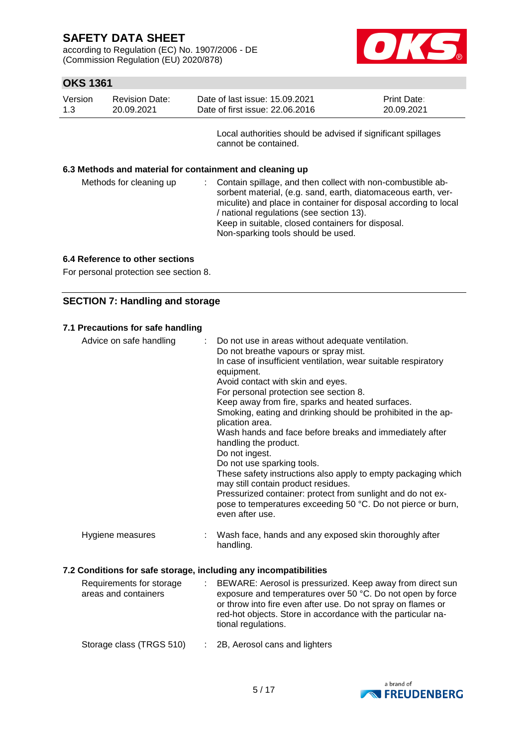according to Regulation (EC) No. 1907/2006 - DE (Commission Regulation (EU) 2020/878)



# **OKS 1361**

| Version | Revision Date: | Date of last issue: 15.09.2021  | <b>Print Date:</b> |
|---------|----------------|---------------------------------|--------------------|
| 1.3     | 20.09.2021     | Date of first issue: 22,06,2016 | 20.09.2021         |

Local authorities should be advised if significant spillages cannot be contained.

#### **6.3 Methods and material for containment and cleaning up**

| / national regulations (see section 13).<br>Keep in suitable, closed containers for disposal.<br>Non-sparking tools should be used. | Methods for cleaning up | : Contain spillage, and then collect with non-combustible ab-<br>sorbent material, (e.g. sand, earth, diatomaceous earth, ver-<br>miculite) and place in container for disposal according to local |  |
|-------------------------------------------------------------------------------------------------------------------------------------|-------------------------|----------------------------------------------------------------------------------------------------------------------------------------------------------------------------------------------------|--|
|-------------------------------------------------------------------------------------------------------------------------------------|-------------------------|----------------------------------------------------------------------------------------------------------------------------------------------------------------------------------------------------|--|

#### **6.4 Reference to other sections**

For personal protection see section 8.

### **SECTION 7: Handling and storage**

#### **7.1 Precautions for safe handling**

| Advice on safe handling | : Do not use in areas without adequate ventilation.<br>Do not breathe vapours or spray mist.<br>In case of insufficient ventilation, wear suitable respiratory<br>equipment.<br>Avoid contact with skin and eyes.<br>For personal protection see section 8.<br>Keep away from fire, sparks and heated surfaces.<br>Smoking, eating and drinking should be prohibited in the ap-<br>plication area.<br>Wash hands and face before breaks and immediately after<br>handling the product.<br>Do not ingest.<br>Do not use sparking tools.<br>These safety instructions also apply to empty packaging which<br>may still contain product residues.<br>Pressurized container: protect from sunlight and do not ex-<br>pose to temperatures exceeding 50 °C. Do not pierce or burn,<br>even after use. |
|-------------------------|--------------------------------------------------------------------------------------------------------------------------------------------------------------------------------------------------------------------------------------------------------------------------------------------------------------------------------------------------------------------------------------------------------------------------------------------------------------------------------------------------------------------------------------------------------------------------------------------------------------------------------------------------------------------------------------------------------------------------------------------------------------------------------------------------|
| Hygiene measures        | : Wash face, hands and any exposed skin thoroughly after<br>handling.                                                                                                                                                                                                                                                                                                                                                                                                                                                                                                                                                                                                                                                                                                                            |
|                         | <u> 2 Cenditiona fer aafe atoroge inoluding any inoomnatibilition</u>                                                                                                                                                                                                                                                                                                                                                                                                                                                                                                                                                                                                                                                                                                                            |

# **7.2 Conditions for safe storage, including any incompatibilities**

| Requirements for storage<br>areas and containers | BEWARE: Aerosol is pressurized. Keep away from direct sun<br>exposure and temperatures over 50 °C. Do not open by force<br>or throw into fire even after use. Do not spray on flames or<br>red-hot objects. Store in accordance with the particular na-<br>tional regulations. |
|--------------------------------------------------|--------------------------------------------------------------------------------------------------------------------------------------------------------------------------------------------------------------------------------------------------------------------------------|
| Storage class (TRGS 510)                         | $\therefore$ 2B, Aerosol cans and lighters                                                                                                                                                                                                                                     |

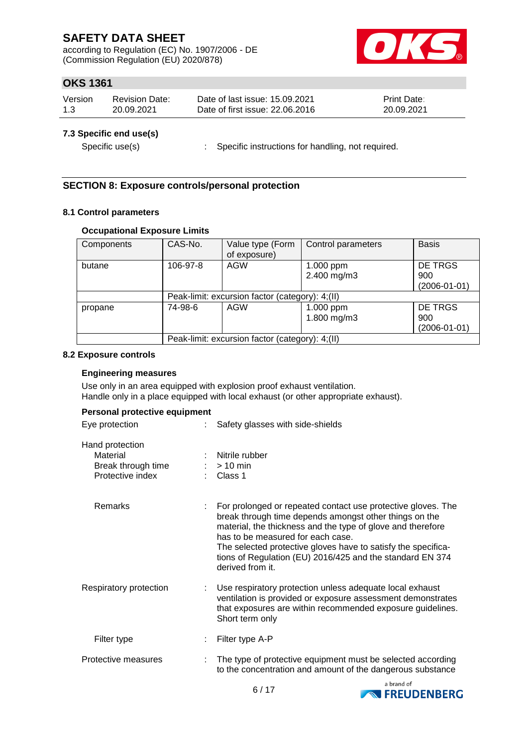according to Regulation (EC) No. 1907/2006 - DE (Commission Regulation (EU) 2020/878)



# **OKS 1361**

| Version | Revision Date: | Date of last issue: 15.09.2021  | <b>Print Date:</b> |
|---------|----------------|---------------------------------|--------------------|
| 1.3     | 20.09.2021     | Date of first issue: 22,06,2016 | 20.09.2021         |

#### **7.3 Specific end use(s)**

Specific use(s) : Specific instructions for handling, not required.

# **SECTION 8: Exposure controls/personal protection**

#### **8.1 Control parameters**

#### **Occupational Exposure Limits**

| Components | CAS-No.                                         | Value type (Form<br>of exposure) | Control parameters       | <b>Basis</b>                                |  |  |  |
|------------|-------------------------------------------------|----------------------------------|--------------------------|---------------------------------------------|--|--|--|
| butane     | 106-97-8                                        | AGW                              | 1.000 ppm<br>2.400 mg/m3 | <b>DE TRGS</b><br>900<br>$(2006 - 01 - 01)$ |  |  |  |
|            | Peak-limit: excursion factor (category): 4;(II) |                                  |                          |                                             |  |  |  |
| propane    | 74-98-6                                         | AGW                              | 1.000 ppm<br>1.800 mg/m3 | <b>DE TRGS</b><br>900<br>$(2006 - 01 - 01)$ |  |  |  |
|            | Peak-limit: excursion factor (category): 4;(II) |                                  |                          |                                             |  |  |  |

#### **8.2 Exposure controls**

#### **Engineering measures**

Use only in an area equipped with explosion proof exhaust ventilation. Handle only in a place equipped with local exhaust (or other appropriate exhaust).

| Eye protection                                                        | Safety glasses with side-shields                                                                                                                                                                                                                                                                                                                                             |
|-----------------------------------------------------------------------|------------------------------------------------------------------------------------------------------------------------------------------------------------------------------------------------------------------------------------------------------------------------------------------------------------------------------------------------------------------------------|
| Hand protection<br>Material<br>Break through time<br>Protective index | : Nitrile rubber<br>$:$ > 10 min<br>$\therefore$ Class 1                                                                                                                                                                                                                                                                                                                     |
| Remarks                                                               | For prolonged or repeated contact use protective gloves. The<br>break through time depends amongst other things on the<br>material, the thickness and the type of glove and therefore<br>has to be measured for each case.<br>The selected protective gloves have to satisfy the specifica-<br>tions of Regulation (EU) 2016/425 and the standard EN 374<br>derived from it. |
| Respiratory protection                                                | : Use respiratory protection unless adequate local exhaust<br>ventilation is provided or exposure assessment demonstrates<br>that exposures are within recommended exposure guidelines.<br>Short term only                                                                                                                                                                   |
| Filter type                                                           | Filter type A-P                                                                                                                                                                                                                                                                                                                                                              |
| Protective measures                                                   | The type of protective equipment must be selected according<br>to the concentration and amount of the dangerous substance                                                                                                                                                                                                                                                    |

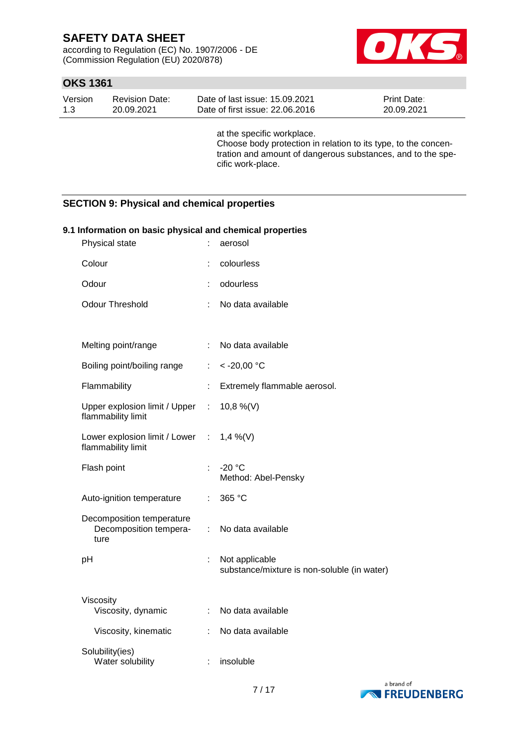according to Regulation (EC) No. 1907/2006 - DE (Commission Regulation (EU) 2020/878)



## **OKS 1361**

| Version | <b>Revision Date:</b> | Date of last issue: 15.09.2021  | <b>Print Date:</b> |
|---------|-----------------------|---------------------------------|--------------------|
| 1.3     | 20.09.2021            | Date of first issue: 22,06,2016 | 20.09.2021         |

at the specific workplace. Choose body protection in relation to its type, to the concentration and amount of dangerous substances, and to the specific work-place.

### **SECTION 9: Physical and chemical properties**

| 9.1 Information on basic physical and chemical properties<br>Physical state |    | aerosol                                                       |
|-----------------------------------------------------------------------------|----|---------------------------------------------------------------|
| Colour                                                                      | t  | colourless                                                    |
| Odour                                                                       |    | odourless                                                     |
| <b>Odour Threshold</b>                                                      |    | No data available                                             |
|                                                                             |    |                                                               |
| Melting point/range                                                         | t. | No data available                                             |
| Boiling point/boiling range                                                 | ÷. | $< -20,00$ °C                                                 |
| Flammability                                                                |    | Extremely flammable aerosol.                                  |
| Upper explosion limit / Upper<br>flammability limit                         | ÷. | 10,8 %(V)                                                     |
| Lower explosion limit / Lower : $1,4\%$ (V)<br>flammability limit           |    |                                                               |
| Flash point                                                                 | ÷. | $-20 °C$<br>Method: Abel-Pensky                               |
| Auto-ignition temperature                                                   | ÷. | 365 °C                                                        |
| Decomposition temperature<br>Decomposition tempera-<br>ture                 | ÷. | No data available                                             |
| pH                                                                          | t. | Not applicable<br>substance/mixture is non-soluble (in water) |
| Viscosity<br>Viscosity, dynamic                                             | ÷. | No data available                                             |
| Viscosity, kinematic                                                        | ÷. | No data available                                             |
| Solubility(ies)<br>Water solubility                                         | ÷  | insoluble                                                     |

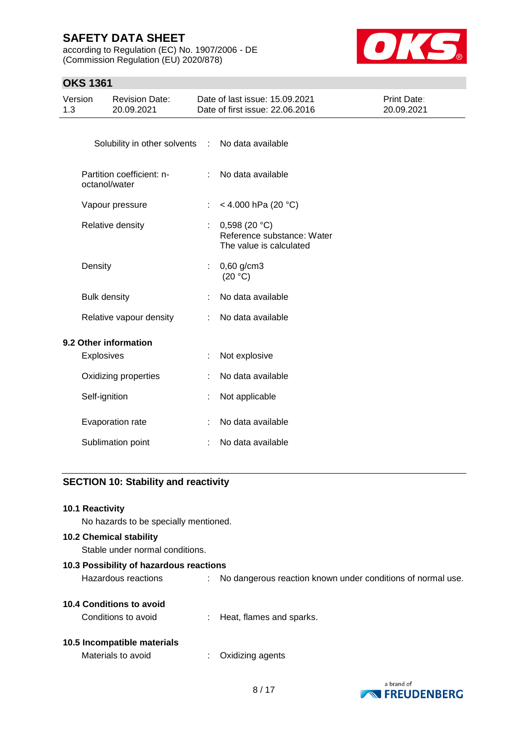according to Regulation (EC) No. 1907/2006 - DE (Commission Regulation (EU) 2020/878)



### **OKS 1361**

| Version<br>1.3 | <b>Revision Date:</b><br>20.09.2021              |    | Date of last issue: 15.09.2021<br>Date of first issue: 22.06.2016     | Print Date:<br>20.09.2021 |
|----------------|--------------------------------------------------|----|-----------------------------------------------------------------------|---------------------------|
|                | Solubility in other solvents : No data available |    |                                                                       |                           |
|                | Partition coefficient: n-<br>octanol/water       |    | : No data available                                                   |                           |
|                | Vapour pressure                                  | ÷. | < 4.000 hPa (20 °C)                                                   |                           |
|                | Relative density                                 |    | 0,598(20 °C)<br>Reference substance: Water<br>The value is calculated |                           |
|                | Density                                          | ÷  | $0,60$ g/cm3<br>(20 °C)                                               |                           |
|                | <b>Bulk density</b>                              | ÷  | No data available                                                     |                           |
|                | Relative vapour density                          | ÷  | No data available                                                     |                           |
|                | 9.2 Other information<br>Explosives              |    | Not explosive                                                         |                           |
|                | Oxidizing properties                             |    | No data available                                                     |                           |
|                | Self-ignition                                    |    | Not applicable                                                        |                           |
|                | Evaporation rate                                 |    | No data available                                                     |                           |
|                | Sublimation point                                |    | No data available                                                     |                           |

# **SECTION 10: Stability and reactivity**

#### **10.1 Reactivity**

No hazards to be specially mentioned.

### **10.2 Chemical stability**

Stable under normal conditions.

| 10.3 Possibility of hazardous reactions |    |                                                             |  |  |
|-----------------------------------------|----|-------------------------------------------------------------|--|--|
| Hazardous reactions                     | ÷. | No dangerous reaction known under conditions of normal use. |  |  |
| 10.4 Conditions to avoid                |    |                                                             |  |  |
| Conditions to avoid                     |    | : Heat, flames and sparks.                                  |  |  |
| 10.5 Incompatible materials             |    |                                                             |  |  |

# Materials to avoid : Oxidizing agents



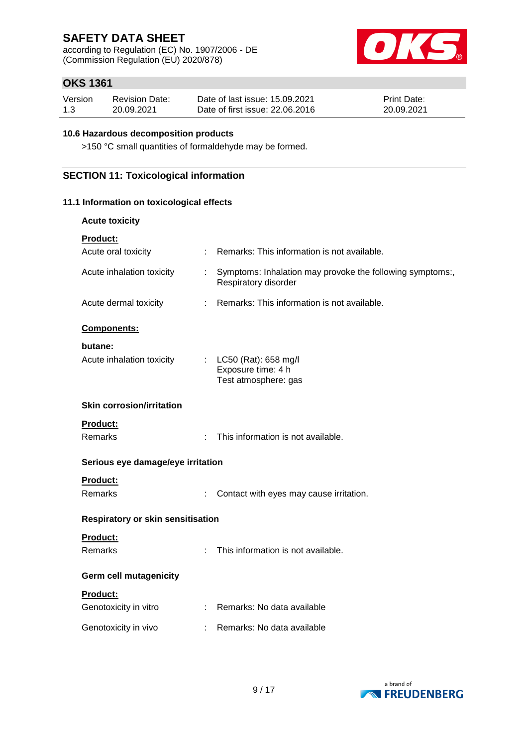according to Regulation (EC) No. 1907/2006 - DE (Commission Regulation (EU) 2020/878)



# **OKS 1361**

| Version | <b>Revision Date:</b> | Date of last issue: 15.09.2021  | <b>Print Date:</b> |
|---------|-----------------------|---------------------------------|--------------------|
| 1.3     | 20.09.2021            | Date of first issue: 22.06.2016 | 20.09.2021         |

#### **10.6 Hazardous decomposition products**

>150 °C small quantities of formaldehyde may be formed.

### **SECTION 11: Toxicological information**

#### **11.1 Information on toxicological effects**

| <b>Acute toxicity</b>                    |    |                                                                                   |
|------------------------------------------|----|-----------------------------------------------------------------------------------|
| <b>Product:</b>                          |    |                                                                                   |
| Acute oral toxicity                      |    | Remarks: This information is not available.                                       |
| Acute inhalation toxicity                | ÷. | Symptoms: Inhalation may provoke the following symptoms:,<br>Respiratory disorder |
| Acute dermal toxicity                    | ÷  | Remarks: This information is not available.                                       |
| Components:                              |    |                                                                                   |
| butane:                                  |    |                                                                                   |
| Acute inhalation toxicity                |    | : LC50 (Rat): 658 mg/l<br>Exposure time: 4 h<br>Test atmosphere: gas              |
| <b>Skin corrosion/irritation</b>         |    |                                                                                   |
| <b>Product:</b>                          |    |                                                                                   |
| Remarks                                  | ÷. | This information is not available.                                                |
| Serious eye damage/eye irritation        |    |                                                                                   |
| <b>Product:</b>                          |    |                                                                                   |
| Remarks                                  |    | Contact with eyes may cause irritation.                                           |
| <b>Respiratory or skin sensitisation</b> |    |                                                                                   |
| Product:                                 |    |                                                                                   |
| Remarks                                  | ÷. | This information is not available.                                                |
| <b>Germ cell mutagenicity</b>            |    |                                                                                   |
| Product:                                 |    |                                                                                   |
| Genotoxicity in vitro                    |    | : Remarks: No data available                                                      |
| Genotoxicity in vivo                     |    | Remarks: No data available                                                        |

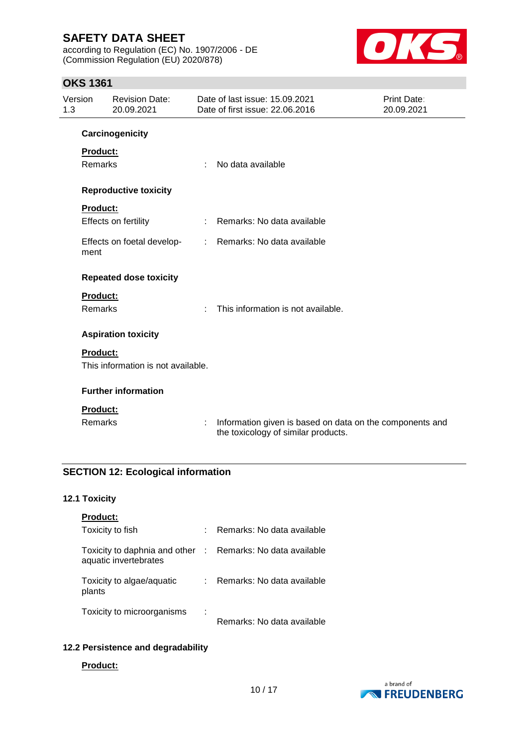according to Regulation (EC) No. 1907/2006 - DE (Commission Regulation (EU) 2020/878)



### **OKS 1361**

| Version<br>1.3 |                 | <b>Revision Date:</b><br>20.09.2021 |   | Date of last issue: 15.09.2021<br>Date of first issue: 22.06.2016                               | Print Date:<br>20.09.2021 |
|----------------|-----------------|-------------------------------------|---|-------------------------------------------------------------------------------------------------|---------------------------|
|                |                 | Carcinogenicity                     |   |                                                                                                 |                           |
|                | Product:        |                                     |   |                                                                                                 |                           |
|                | <b>Remarks</b>  |                                     | ÷ | No data available                                                                               |                           |
|                |                 | <b>Reproductive toxicity</b>        |   |                                                                                                 |                           |
|                | <b>Product:</b> |                                     |   |                                                                                                 |                           |
|                |                 | Effects on fertility                | ÷ | Remarks: No data available                                                                      |                           |
|                | ment            | Effects on foetal develop-          |   | : Remarks: No data available                                                                    |                           |
|                |                 | <b>Repeated dose toxicity</b>       |   |                                                                                                 |                           |
|                | <b>Product:</b> |                                     |   |                                                                                                 |                           |
|                | <b>Remarks</b>  |                                     | ÷ | This information is not available.                                                              |                           |
|                |                 | <b>Aspiration toxicity</b>          |   |                                                                                                 |                           |
|                | <b>Product:</b> |                                     |   |                                                                                                 |                           |
|                |                 | This information is not available.  |   |                                                                                                 |                           |
|                |                 | <b>Further information</b>          |   |                                                                                                 |                           |
|                | <b>Product:</b> |                                     |   |                                                                                                 |                           |
|                | <b>Remarks</b>  |                                     | ÷ | Information given is based on data on the components and<br>the toxicology of similar products. |                           |

# **SECTION 12: Ecological information**

#### **12.1 Toxicity**

| <b>Product:</b>                                                                     |    |                            |
|-------------------------------------------------------------------------------------|----|----------------------------|
| Toxicity to fish                                                                    | ÷  | Remarks: No data available |
| Toxicity to daphnia and other : Remarks: No data available<br>aquatic invertebrates |    |                            |
| Toxicity to algae/aquatic<br>plants                                                 | ÷. | Remarks: No data available |
| Toxicity to microorganisms                                                          | ÷  | Remarks: No data available |

# **12.2 Persistence and degradability**

**Product:**

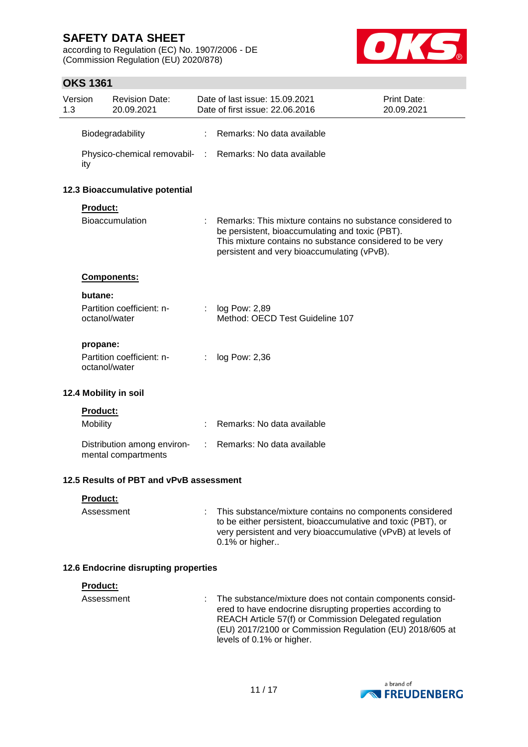according to Regulation (EC) No. 1907/2006 - DE (Commission Regulation (EU) 2020/878)



## **OKS 1361**

| Version<br>1.3                          |                 | <b>Revision Date:</b><br>20.09.2021                |    | Date of last issue: 15.09.2021<br>Date of first issue: 22.06.2016                                                                                                                                                       | Print Date:<br>20.09.2021 |
|-----------------------------------------|-----------------|----------------------------------------------------|----|-------------------------------------------------------------------------------------------------------------------------------------------------------------------------------------------------------------------------|---------------------------|
|                                         |                 | Biodegradability                                   | t. | Remarks: No data available                                                                                                                                                                                              |                           |
|                                         | ity             |                                                    |    | Physico-chemical removabil- : Remarks: No data available                                                                                                                                                                |                           |
|                                         |                 | 12.3 Bioaccumulative potential                     |    |                                                                                                                                                                                                                         |                           |
|                                         | Product:        |                                                    |    |                                                                                                                                                                                                                         |                           |
|                                         |                 | Bioaccumulation                                    |    | Remarks: This mixture contains no substance considered to<br>be persistent, bioaccumulating and toxic (PBT).<br>This mixture contains no substance considered to be very<br>persistent and very bioaccumulating (vPvB). |                           |
|                                         |                 | Components:                                        |    |                                                                                                                                                                                                                         |                           |
|                                         | butane:         |                                                    |    |                                                                                                                                                                                                                         |                           |
|                                         | octanol/water   | Partition coefficient: n-                          | t. | log Pow: 2,89<br>Method: OECD Test Guideline 107                                                                                                                                                                        |                           |
|                                         | propane:        |                                                    |    |                                                                                                                                                                                                                         |                           |
|                                         | octanol/water   | Partition coefficient: n-                          |    | log Pow: 2,36                                                                                                                                                                                                           |                           |
|                                         |                 | 12.4 Mobility in soil                              |    |                                                                                                                                                                                                                         |                           |
|                                         | Product:        |                                                    |    |                                                                                                                                                                                                                         |                           |
|                                         | Mobility        |                                                    |    | Remarks: No data available                                                                                                                                                                                              |                           |
|                                         |                 | Distribution among environ-<br>mental compartments |    | Remarks: No data available                                                                                                                                                                                              |                           |
| 12.5 Results of PBT and vPvB assessment |                 |                                                    |    |                                                                                                                                                                                                                         |                           |
|                                         | <b>Product:</b> |                                                    |    |                                                                                                                                                                                                                         |                           |
|                                         | Assessment      |                                                    |    | This substance/mixture contains no components considered<br>to be either persistent, bioaccumulative and toxic (PBT), or                                                                                                |                           |

### **12.6 Endocrine disrupting properties**

| <b>Product:</b> |                                                                                                                                                                                                                                                                             |
|-----------------|-----------------------------------------------------------------------------------------------------------------------------------------------------------------------------------------------------------------------------------------------------------------------------|
| Assessment      | : The substance/mixture does not contain components consid-<br>ered to have endocrine disrupting properties according to<br>REACH Article 57(f) or Commission Delegated regulation<br>(EU) 2017/2100 or Commission Regulation (EU) 2018/605 at<br>levels of 0.1% or higher. |

0.1% or higher..

very persistent and very bioaccumulative (vPvB) at levels of

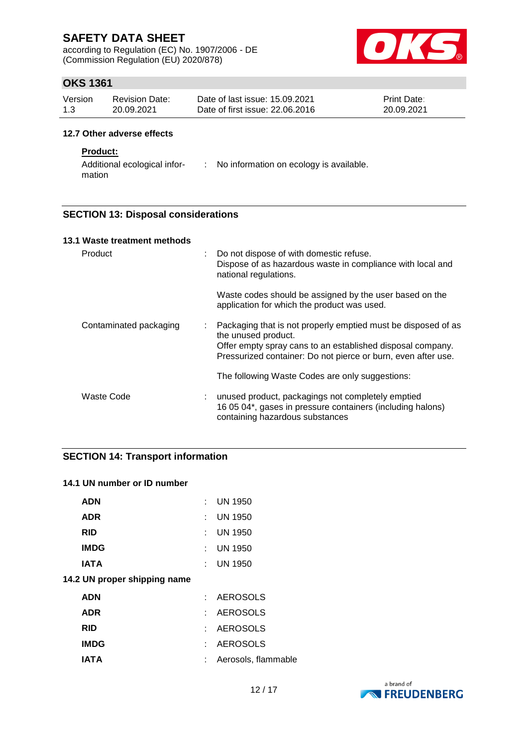according to Regulation (EC) No. 1907/2006 - DE (Commission Regulation (EU) 2020/878)



# **OKS 1361**

| Version | <b>Revision Date:</b> | Date of last issue: 15.09.2021  | <b>Print Date:</b> |
|---------|-----------------------|---------------------------------|--------------------|
| 1.3     | 20.09.2021            | Date of first issue: 22,06,2016 | 20.09.2021         |

### **12.7 Other adverse effects**

#### **Product:**

Additional ecological infor-: No information on ecology is available. mation

### **SECTION 13: Disposal considerations**

| 13.1 Waste treatment methods |   |                                                                                                                                                                                                                     |
|------------------------------|---|---------------------------------------------------------------------------------------------------------------------------------------------------------------------------------------------------------------------|
| Product<br>÷.                |   | Do not dispose of with domestic refuse.<br>Dispose of as hazardous waste in compliance with local and<br>national regulations.                                                                                      |
|                              |   | Waste codes should be assigned by the user based on the<br>application for which the product was used.                                                                                                              |
| Contaminated packaging       | ÷ | Packaging that is not properly emptied must be disposed of as<br>the unused product.<br>Offer empty spray cans to an established disposal company.<br>Pressurized container: Do not pierce or burn, even after use. |
|                              |   | The following Waste Codes are only suggestions:                                                                                                                                                                     |
| Waste Code                   | ÷ | unused product, packagings not completely emptied<br>16 05 04*, gases in pressure containers (including halons)<br>containing hazardous substances                                                                  |

### **SECTION 14: Transport information**

#### **14.1 UN number or ID number**

| к. | <b>UN 1950</b>      |
|----|---------------------|
| t. | <b>UN 1950</b>      |
| t. | <b>UN 1950</b>      |
| t. | <b>UN 1950</b>      |
| t. | <b>UN 1950</b>      |
|    |                     |
| t. | <b>AEROSOLS</b>     |
|    | <b>AEROSOLS</b>     |
| t. | <b>AEROSOLS</b>     |
|    | <b>AEROSOLS</b>     |
| t. | Aerosols, flammable |
|    |                     |

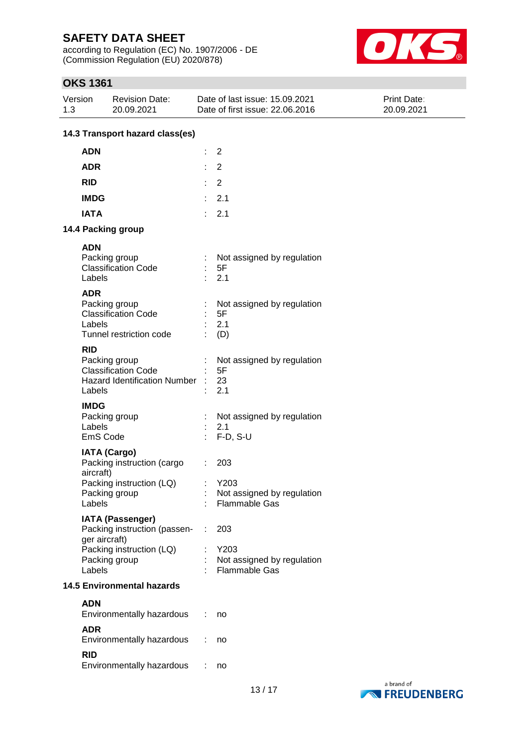according to Regulation (EC) No. 1907/2006 - DE (Commission Regulation (EU) 2020/878)



# **OKS 1361**

| Version<br>1.3        | <b>Revision Date:</b><br>20.09.2021                                                                                   | Date of last issue: 15.09.2021<br>Date of first issue: 22.06.2016           | Print Date:<br>20.09.2021 |
|-----------------------|-----------------------------------------------------------------------------------------------------------------------|-----------------------------------------------------------------------------|---------------------------|
|                       | 14.3 Transport hazard class(es)                                                                                       |                                                                             |                           |
| <b>ADN</b>            |                                                                                                                       | $\overline{2}$                                                              |                           |
| <b>ADR</b>            |                                                                                                                       | $\overline{2}$                                                              |                           |
| <b>RID</b>            |                                                                                                                       | $\overline{2}$                                                              |                           |
| <b>IMDG</b>           |                                                                                                                       | 2.1<br>÷.                                                                   |                           |
| <b>IATA</b>           |                                                                                                                       | 2.1<br>÷.                                                                   |                           |
|                       | 14.4 Packing group                                                                                                    |                                                                             |                           |
| <b>ADN</b><br>Labels  | Packing group<br><b>Classification Code</b>                                                                           | Not assigned by regulation<br>5F<br>2.1                                     |                           |
| <b>ADR</b><br>Labels  | Packing group<br><b>Classification Code</b><br>Tunnel restriction code                                                | Not assigned by regulation<br>5F<br>2.1<br>(D)                              |                           |
| <b>RID</b><br>Labels  | Packing group<br><b>Classification Code</b><br><b>Hazard Identification Number</b>                                    | Not assigned by regulation<br>5F<br>23<br>2.1                               |                           |
| <b>IMDG</b><br>Labels | Packing group<br>EmS Code                                                                                             | Not assigned by regulation<br>2.1<br>$F-D, S-U$<br>÷                        |                           |
|                       | <b>IATA (Cargo)</b><br>Packing instruction (cargo<br>aircraft)<br>Packing instruction (LQ)<br>Packing group           | 203<br>Y203<br>÷.<br>Not assigned by regulation                             |                           |
| Labels<br>Labels      | <b>IATA (Passenger)</b><br>Packing instruction (passen-<br>ger aircraft)<br>Packing instruction (LQ)<br>Packing group | Flammable Gas<br>203<br>Y203<br>Not assigned by regulation<br>Flammable Gas |                           |
|                       | <b>14.5 Environmental hazards</b>                                                                                     |                                                                             |                           |
| <b>ADN</b>            | Environmentally hazardous                                                                                             | no                                                                          |                           |
| <b>ADR</b>            | Environmentally hazardous                                                                                             | no                                                                          |                           |
| <b>RID</b>            | Environmentally hazardous                                                                                             | no                                                                          |                           |

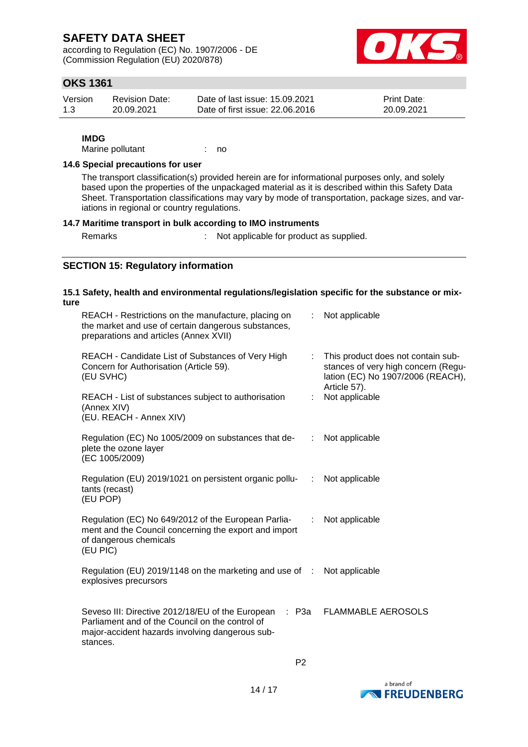according to Regulation (EC) No. 1907/2006 - DE (Commission Regulation (EU) 2020/878)



### **OKS 1361**

| Version | <b>Revision Date:</b> | Date of last issue: 15.09.2021  | <b>Print Date:</b> |
|---------|-----------------------|---------------------------------|--------------------|
| 1.3     | 20.09.2021            | Date of first issue: 22,06,2016 | 20.09.2021         |

#### **IMDG**

Marine pollutant : no

#### **14.6 Special precautions for user**

The transport classification(s) provided herein are for informational purposes only, and solely based upon the properties of the unpackaged material as it is described within this Safety Data Sheet. Transportation classifications may vary by mode of transportation, package sizes, and variations in regional or country regulations.

#### **14.7 Maritime transport in bulk according to IMO instruments**

Remarks : Not applicable for product as supplied.

### **SECTION 15: Regulatory information**

#### **15.1 Safety, health and environmental regulations/legislation specific for the substance or mixture**

| REACH - Candidate List of Substances of Very High<br>This product does not contain sub-<br>÷.<br>stances of very high concern (Regu-<br>Concern for Authorisation (Article 59).<br>(EU SVHC)<br>lation (EC) No 1907/2006 (REACH),<br>Article 57).<br>Not applicable<br>REACH - List of substances subject to authorisation<br>(Annex XIV)<br>(EU. REACH - Annex XIV)<br>Regulation (EC) No 1005/2009 on substances that de-<br>Not applicable<br>÷<br>plete the ozone layer<br>(EC 1005/2009)<br>Regulation (EU) 2019/1021 on persistent organic pollu-<br>Not applicable<br>÷<br>tants (recast)<br>(EU POP)<br>Regulation (EC) No 649/2012 of the European Parlia-<br>Not applicable<br>÷<br>ment and the Council concerning the export and import<br>of dangerous chemicals<br>(EU PIC)<br>Regulation (EU) 2019/1148 on the marketing and use of : Not applicable<br>explosives precursors<br>Seveso III: Directive 2012/18/EU of the European<br>: P3a<br><b>FLAMMABLE AEROSOLS</b><br>Parliament and of the Council on the control of<br>major-accident hazards involving dangerous sub-<br>stances. | REACH - Restrictions on the manufacture, placing on<br>the market and use of certain dangerous substances,<br>preparations and articles (Annex XVII) | Not applicable |
|----------------------------------------------------------------------------------------------------------------------------------------------------------------------------------------------------------------------------------------------------------------------------------------------------------------------------------------------------------------------------------------------------------------------------------------------------------------------------------------------------------------------------------------------------------------------------------------------------------------------------------------------------------------------------------------------------------------------------------------------------------------------------------------------------------------------------------------------------------------------------------------------------------------------------------------------------------------------------------------------------------------------------------------------------------------------------------------------------------|------------------------------------------------------------------------------------------------------------------------------------------------------|----------------|
|                                                                                                                                                                                                                                                                                                                                                                                                                                                                                                                                                                                                                                                                                                                                                                                                                                                                                                                                                                                                                                                                                                          |                                                                                                                                                      |                |
|                                                                                                                                                                                                                                                                                                                                                                                                                                                                                                                                                                                                                                                                                                                                                                                                                                                                                                                                                                                                                                                                                                          |                                                                                                                                                      |                |
|                                                                                                                                                                                                                                                                                                                                                                                                                                                                                                                                                                                                                                                                                                                                                                                                                                                                                                                                                                                                                                                                                                          |                                                                                                                                                      |                |
|                                                                                                                                                                                                                                                                                                                                                                                                                                                                                                                                                                                                                                                                                                                                                                                                                                                                                                                                                                                                                                                                                                          |                                                                                                                                                      |                |
|                                                                                                                                                                                                                                                                                                                                                                                                                                                                                                                                                                                                                                                                                                                                                                                                                                                                                                                                                                                                                                                                                                          |                                                                                                                                                      |                |
|                                                                                                                                                                                                                                                                                                                                                                                                                                                                                                                                                                                                                                                                                                                                                                                                                                                                                                                                                                                                                                                                                                          |                                                                                                                                                      |                |
|                                                                                                                                                                                                                                                                                                                                                                                                                                                                                                                                                                                                                                                                                                                                                                                                                                                                                                                                                                                                                                                                                                          |                                                                                                                                                      |                |

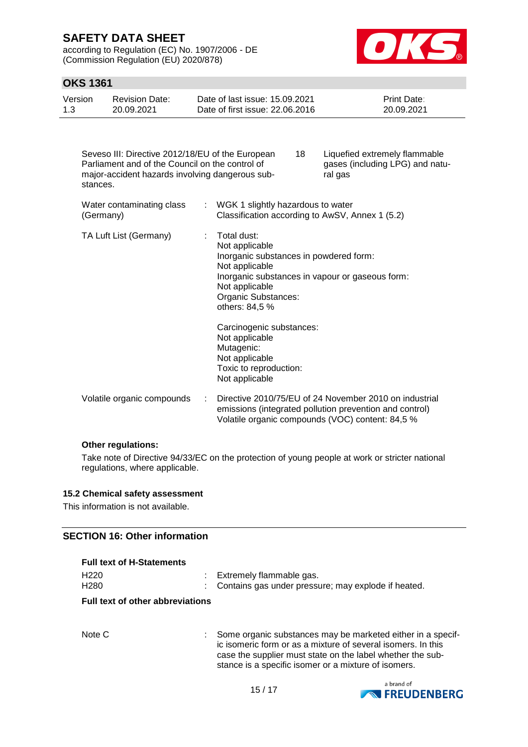according to Regulation (EC) No. 1907/2006 - DE (Commission Regulation (EU) 2020/878)



# **OKS 1361**

| Date of first issue: 22,06,2016<br>1.3<br>20.09.2021<br>20.09.2021 | Version | Revision Date: | Date of last issue: 15.09.2021 | <b>Print Date:</b> |
|--------------------------------------------------------------------|---------|----------------|--------------------------------|--------------------|
|--------------------------------------------------------------------|---------|----------------|--------------------------------|--------------------|

| Seveso III: Directive 2012/18/EU of the European<br>Parliament and of the Council on the control of<br>major-accident hazards involving dangerous sub-<br>stances. |    | 18<br>Liquefied extremely flammable<br>gases (including LPG) and natu-<br>ral gas                                                                                                                       |  |
|--------------------------------------------------------------------------------------------------------------------------------------------------------------------|----|---------------------------------------------------------------------------------------------------------------------------------------------------------------------------------------------------------|--|
| Water contaminating class<br>(Germany)                                                                                                                             | ÷. | WGK 1 slightly hazardous to water<br>Classification according to AwSV, Annex 1 (5.2)                                                                                                                    |  |
| TA Luft List (Germany)                                                                                                                                             |    | Total dust:<br>Not applicable<br>Inorganic substances in powdered form:<br>Not applicable<br>Inorganic substances in vapour or gaseous form:<br>Not applicable<br>Organic Substances:<br>others: 84,5 % |  |
|                                                                                                                                                                    |    | Carcinogenic substances:<br>Not applicable<br>Mutagenic:<br>Not applicable<br>Toxic to reproduction:<br>Not applicable                                                                                  |  |
| Volatile organic compounds                                                                                                                                         |    | Directive 2010/75/EU of 24 November 2010 on industrial<br>emissions (integrated pollution prevention and control)<br>Volatile organic compounds (VOC) content: 84,5 %                                   |  |

#### **Other regulations:**

Take note of Directive 94/33/EC on the protection of young people at work or stricter national regulations, where applicable.

#### **15.2 Chemical safety assessment**

This information is not available.

#### **SECTION 16: Other information**

**Full text of H-Statements**

| H <sub>220</sub>                        |  | : Extremely flammable gas.                            |  |  |
|-----------------------------------------|--|-------------------------------------------------------|--|--|
| H <sub>280</sub>                        |  | : Contains gas under pressure; may explode if heated. |  |  |
| 计算机 计自动存储器 医心包 医心脏 医心脏 医心脏 医心包 医心脏 医心脏病 |  |                                                       |  |  |

#### **Full text of other abbreviations**

Note C : Some organic substances may be marketed either in a specific isomeric form or as a mixture of several isomers. In this case the supplier must state on the label whether the substance is a specific isomer or a mixture of isomers.

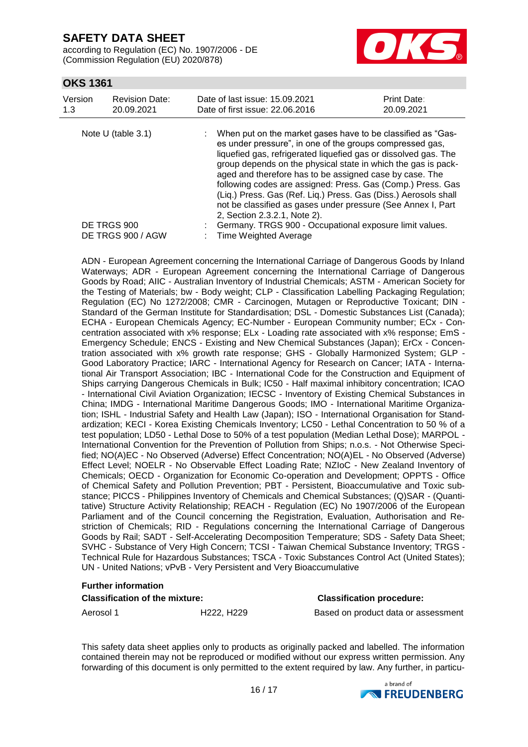according to Regulation (EC) No. 1907/2006 - DE (Commission Regulation (EU) 2020/878)



### **OKS 1361**

| Version<br>1.3 | <b>Revision Date:</b><br>20.09.2021 | Date of last issue: 15.09.2021<br>Date of first issue: 22.06.2016                                                                                                                                                                                                                                                                                                                                                                                                                                                                                        | Print Date:<br>20.09.2021 |
|----------------|-------------------------------------|----------------------------------------------------------------------------------------------------------------------------------------------------------------------------------------------------------------------------------------------------------------------------------------------------------------------------------------------------------------------------------------------------------------------------------------------------------------------------------------------------------------------------------------------------------|---------------------------|
|                | Note $U$ (table 3.1)                | When put on the market gases have to be classified as "Gas-<br>es under pressure", in one of the groups compressed gas,<br>liquefied gas, refrigerated liquefied gas or dissolved gas. The<br>group depends on the physical state in which the gas is pack-<br>aged and therefore has to be assigned case by case. The<br>following codes are assigned: Press. Gas (Comp.) Press. Gas<br>(Liq.) Press. Gas (Ref. Liq.) Press. Gas (Diss.) Aerosols shall<br>not be classified as gases under pressure (See Annex I, Part<br>2, Section 2.3.2.1, Note 2). |                           |
|                | DE TRGS 900                         | Germany. TRGS 900 - Occupational exposure limit values.                                                                                                                                                                                                                                                                                                                                                                                                                                                                                                  |                           |
|                | DE TRGS 900 / AGW                   | Time Weighted Average                                                                                                                                                                                                                                                                                                                                                                                                                                                                                                                                    |                           |

ADN - European Agreement concerning the International Carriage of Dangerous Goods by Inland Waterways; ADR - European Agreement concerning the International Carriage of Dangerous Goods by Road; AIIC - Australian Inventory of Industrial Chemicals; ASTM - American Society for the Testing of Materials; bw - Body weight; CLP - Classification Labelling Packaging Regulation; Regulation (EC) No 1272/2008; CMR - Carcinogen, Mutagen or Reproductive Toxicant; DIN - Standard of the German Institute for Standardisation; DSL - Domestic Substances List (Canada); ECHA - European Chemicals Agency; EC-Number - European Community number; ECx - Concentration associated with x% response; ELx - Loading rate associated with x% response; EmS - Emergency Schedule; ENCS - Existing and New Chemical Substances (Japan); ErCx - Concentration associated with x% growth rate response; GHS - Globally Harmonized System; GLP - Good Laboratory Practice; IARC - International Agency for Research on Cancer; IATA - International Air Transport Association; IBC - International Code for the Construction and Equipment of Ships carrying Dangerous Chemicals in Bulk; IC50 - Half maximal inhibitory concentration; ICAO - International Civil Aviation Organization; IECSC - Inventory of Existing Chemical Substances in China; IMDG - International Maritime Dangerous Goods; IMO - International Maritime Organization; ISHL - Industrial Safety and Health Law (Japan); ISO - International Organisation for Standardization; KECI - Korea Existing Chemicals Inventory; LC50 - Lethal Concentration to 50 % of a test population; LD50 - Lethal Dose to 50% of a test population (Median Lethal Dose); MARPOL - International Convention for the Prevention of Pollution from Ships; n.o.s. - Not Otherwise Specified; NO(A)EC - No Observed (Adverse) Effect Concentration; NO(A)EL - No Observed (Adverse) Effect Level; NOELR - No Observable Effect Loading Rate; NZIoC - New Zealand Inventory of Chemicals; OECD - Organization for Economic Co-operation and Development; OPPTS - Office of Chemical Safety and Pollution Prevention; PBT - Persistent, Bioaccumulative and Toxic substance; PICCS - Philippines Inventory of Chemicals and Chemical Substances; (Q)SAR - (Quantitative) Structure Activity Relationship; REACH - Regulation (EC) No 1907/2006 of the European Parliament and of the Council concerning the Registration, Evaluation, Authorisation and Restriction of Chemicals; RID - Regulations concerning the International Carriage of Dangerous Goods by Rail; SADT - Self-Accelerating Decomposition Temperature; SDS - Safety Data Sheet; SVHC - Substance of Very High Concern; TCSI - Taiwan Chemical Substance Inventory; TRGS - Technical Rule for Hazardous Substances; TSCA - Toxic Substances Control Act (United States); UN - United Nations; vPvB - Very Persistent and Very Bioaccumulative

#### **Further information**

| <b>Classification of the mixture:</b> |            | <b>Classification procedure:</b>    |
|---------------------------------------|------------|-------------------------------------|
| Aerosol 1                             | H222. H229 | Based on product data or assessment |

This safety data sheet applies only to products as originally packed and labelled. The information contained therein may not be reproduced or modified without our express written permission. Any forwarding of this document is only permitted to the extent required by law. Any further, in particu-